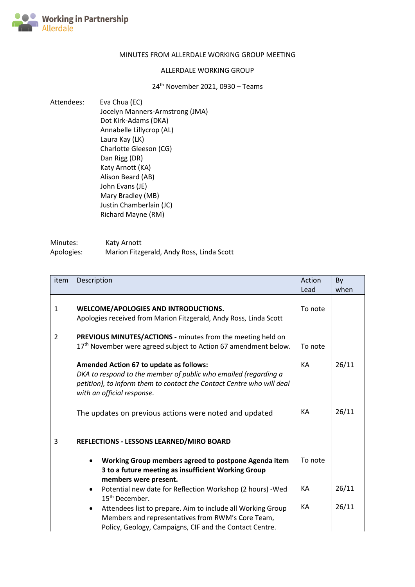

## MINUTES FROM ALLERDALE WORKING GROUP MEETING

## ALLERDALE WORKING GROUP

24th November 2021, 0930 – Teams

Attendees: Eva Chua (EC) Jocelyn Manners-Armstrong (JMA) Dot Kirk-Adams (DKA) Annabelle Lillycrop (AL) Laura Kay (LK) Charlotte Gleeson (CG) Dan Rigg (DR) Katy Arnott (KA) Alison Beard (AB) John Evans (JE) Mary Bradley (MB) Justin Chamberlain (JC) Richard Mayne (RM)

| Minutes:   | Katy Arnott                               |
|------------|-------------------------------------------|
| Apologies: | Marion Fitzgerald, Andy Ross, Linda Scott |

| item         | Description                                                                                                                                                                                                       | Action<br>Lead | By<br>when |
|--------------|-------------------------------------------------------------------------------------------------------------------------------------------------------------------------------------------------------------------|----------------|------------|
| $\mathbf{1}$ | WELCOME/APOLOGIES AND INTRODUCTIONS.<br>Apologies received from Marion Fitzgerald, Andy Ross, Linda Scott                                                                                                         | To note        |            |
| 2            | PREVIOUS MINUTES/ACTIONS - minutes from the meeting held on<br>17 <sup>th</sup> November were agreed subject to Action 67 amendment below.                                                                        | To note        |            |
|              | Amended Action 67 to update as follows:<br>DKA to respond to the member of public who emailed (regarding a<br>petition), to inform them to contact the Contact Centre who will deal<br>with an official response. | KA             | 26/11      |
|              | The updates on previous actions were noted and updated                                                                                                                                                            | КA             | 26/11      |
| 3            | REFLECTIONS - LESSONS LEARNED/MIRO BOARD                                                                                                                                                                          |                |            |
|              | Working Group members agreed to postpone Agenda item<br>3 to a future meeting as insufficient Working Group<br>members were present.                                                                              | To note        |            |
|              | Potential new date for Reflection Workshop (2 hours) - Wed<br>15 <sup>th</sup> December.                                                                                                                          | КA             | 26/11      |
|              | Attendees list to prepare. Aim to include all Working Group<br>٠<br>Members and representatives from RWM's Core Team,<br>Policy, Geology, Campaigns, CIF and the Contact Centre.                                  | KA             | 26/11      |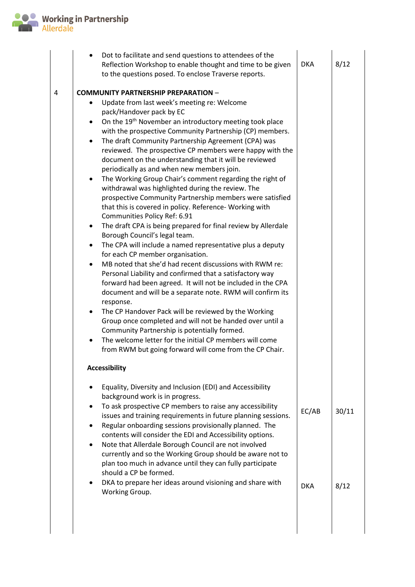

|   | Dot to facilitate and send questions to attendees of the<br>$\bullet$<br>Reflection Workshop to enable thought and time to be given<br>to the questions posed. To enclose Traverse reports.                                                                                                                                                                                                                                                                                                                                                                                                                                                                                                                                                                                                                                                                                                                                                                                                                                                                                                                                                                                                                                                                                                                                                                                                                                                                                                                                                                           | <b>DKA</b>          | 8/12          |
|---|-----------------------------------------------------------------------------------------------------------------------------------------------------------------------------------------------------------------------------------------------------------------------------------------------------------------------------------------------------------------------------------------------------------------------------------------------------------------------------------------------------------------------------------------------------------------------------------------------------------------------------------------------------------------------------------------------------------------------------------------------------------------------------------------------------------------------------------------------------------------------------------------------------------------------------------------------------------------------------------------------------------------------------------------------------------------------------------------------------------------------------------------------------------------------------------------------------------------------------------------------------------------------------------------------------------------------------------------------------------------------------------------------------------------------------------------------------------------------------------------------------------------------------------------------------------------------|---------------------|---------------|
| 4 | <b>COMMUNITY PARTNERSHIP PREPARATION -</b><br>Update from last week's meeting re: Welcome<br>pack/Handover pack by EC<br>On the 19 <sup>th</sup> November an introductory meeting took place<br>$\bullet$<br>with the prospective Community Partnership (CP) members.<br>The draft Community Partnership Agreement (CPA) was<br>reviewed. The prospective CP members were happy with the<br>document on the understanding that it will be reviewed<br>periodically as and when new members join.<br>The Working Group Chair's comment regarding the right of<br>withdrawal was highlighted during the review. The<br>prospective Community Partnership members were satisfied<br>that this is covered in policy. Reference- Working with<br>Communities Policy Ref: 6.91<br>The draft CPA is being prepared for final review by Allerdale<br>٠<br>Borough Council's legal team.<br>The CPA will include a named representative plus a deputy<br>for each CP member organisation.<br>MB noted that she'd had recent discussions with RWM re:<br>Personal Liability and confirmed that a satisfactory way<br>forward had been agreed. It will not be included in the CPA<br>document and will be a separate note. RWM will confirm its<br>response.<br>The CP Handover Pack will be reviewed by the Working<br>$\bullet$<br>Group once completed and will not be handed over until a<br>Community Partnership is potentially formed.<br>The welcome letter for the initial CP members will come<br>$\bullet$<br>from RWM but going forward will come from the CP Chair. |                     |               |
|   | <b>Accessibility</b><br>Equality, Diversity and Inclusion (EDI) and Accessibility<br>background work is in progress.<br>To ask prospective CP members to raise any accessibility<br>٠<br>issues and training requirements in future planning sessions.<br>Regular onboarding sessions provisionally planned. The<br>contents will consider the EDI and Accessibility options.<br>Note that Allerdale Borough Council are not involved<br>٠<br>currently and so the Working Group should be aware not to<br>plan too much in advance until they can fully participate<br>should a CP be formed.<br>DKA to prepare her ideas around visioning and share with<br>Working Group.                                                                                                                                                                                                                                                                                                                                                                                                                                                                                                                                                                                                                                                                                                                                                                                                                                                                                          | EC/AB<br><b>DKA</b> | 30/11<br>8/12 |
|   |                                                                                                                                                                                                                                                                                                                                                                                                                                                                                                                                                                                                                                                                                                                                                                                                                                                                                                                                                                                                                                                                                                                                                                                                                                                                                                                                                                                                                                                                                                                                                                       |                     |               |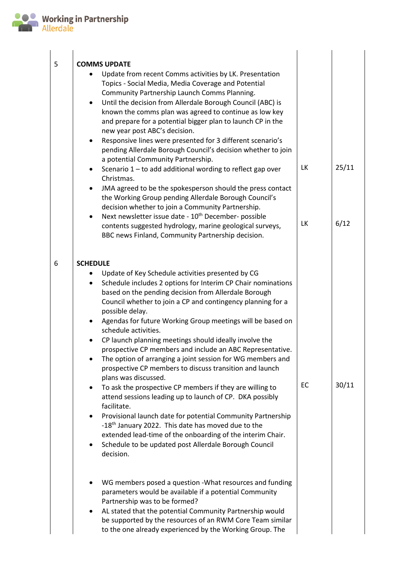

| 5 | <b>COMMS UPDATE</b><br>Update from recent Comms activities by LK. Presentation<br>Topics - Social Media, Media Coverage and Potential<br>Community Partnership Launch Comms Planning.<br>Until the decision from Allerdale Borough Council (ABC) is<br>known the comms plan was agreed to continue as low key<br>and prepare for a potential bigger plan to launch CP in the<br>new year post ABC's decision.<br>Responsive lines were presented for 3 different scenario's<br>pending Allerdale Borough Council's decision whether to join<br>a potential Community Partnership.<br>Scenario 1 - to add additional wording to reflect gap over<br>٠<br>Christmas.<br>JMA agreed to be the spokesperson should the press contact<br>the Working Group pending Allerdale Borough Council's<br>decision whether to join a Community Partnership.<br>Next newsletter issue date - 10 <sup>th</sup> December- possible<br>contents suggested hydrology, marine geological surveys,<br>BBC news Finland, Community Partnership decision.                                             | LK<br>LK | 25/11<br>6/12 |
|---|---------------------------------------------------------------------------------------------------------------------------------------------------------------------------------------------------------------------------------------------------------------------------------------------------------------------------------------------------------------------------------------------------------------------------------------------------------------------------------------------------------------------------------------------------------------------------------------------------------------------------------------------------------------------------------------------------------------------------------------------------------------------------------------------------------------------------------------------------------------------------------------------------------------------------------------------------------------------------------------------------------------------------------------------------------------------------------|----------|---------------|
| 6 | <b>SCHEDULE</b><br>Update of Key Schedule activities presented by CG<br>Schedule includes 2 options for Interim CP Chair nominations<br>$\bullet$<br>based on the pending decision from Allerdale Borough<br>Council whether to join a CP and contingency planning for a<br>possible delay.<br>Agendas for future Working Group meetings will be based on<br>schedule activities.<br>CP launch planning meetings should ideally involve the<br>prospective CP members and include an ABC Representative.<br>The option of arranging a joint session for WG members and<br>prospective CP members to discuss transition and launch<br>plans was discussed.<br>To ask the prospective CP members if they are willing to<br>attend sessions leading up to launch of CP. DKA possibly<br>facilitate.<br>Provisional launch date for potential Community Partnership<br>٠<br>-18 <sup>th</sup> January 2022. This date has moved due to the<br>extended lead-time of the onboarding of the interim Chair.<br>Schedule to be updated post Allerdale Borough Council<br>٠<br>decision. | EC       | 30/11         |
|   | WG members posed a question - What resources and funding<br>parameters would be available if a potential Community<br>Partnership was to be formed?<br>AL stated that the potential Community Partnership would<br>be supported by the resources of an RWM Core Team similar<br>to the one already experienced by the Working Group. The                                                                                                                                                                                                                                                                                                                                                                                                                                                                                                                                                                                                                                                                                                                                        |          |               |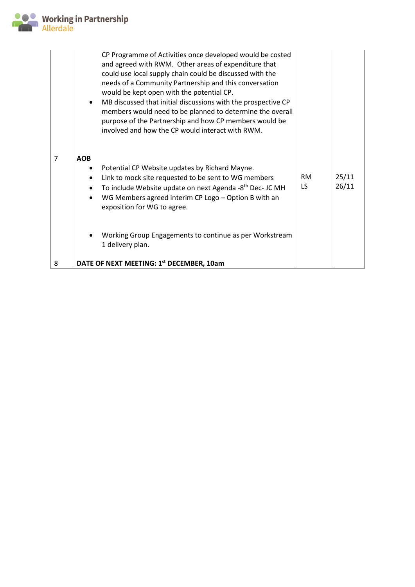

|                | CP Programme of Activities once developed would be costed<br>and agreed with RWM. Other areas of expenditure that<br>could use local supply chain could be discussed with the<br>needs of a Community Partnership and this conversation<br>would be kept open with the potential CP.<br>MB discussed that initial discussions with the prospective CP<br>members would need to be planned to determine the overall<br>purpose of the Partnership and how CP members would be<br>involved and how the CP would interact with RWM. |                 |                |
|----------------|----------------------------------------------------------------------------------------------------------------------------------------------------------------------------------------------------------------------------------------------------------------------------------------------------------------------------------------------------------------------------------------------------------------------------------------------------------------------------------------------------------------------------------|-----------------|----------------|
| $\overline{7}$ | <b>AOB</b><br>Potential CP Website updates by Richard Mayne.<br>Link to mock site requested to be sent to WG members<br>$\bullet$<br>To include Website update on next Agenda -8 <sup>th</sup> Dec- JC MH<br>WG Members agreed interim CP Logo - Option B with an<br>$\bullet$<br>exposition for WG to agree.                                                                                                                                                                                                                    | <b>RM</b><br>LS | 25/11<br>26/11 |
| 8              | Working Group Engagements to continue as per Workstream<br>1 delivery plan.<br>DATE OF NEXT MEETING: 1st DECEMBER, 10am                                                                                                                                                                                                                                                                                                                                                                                                          |                 |                |